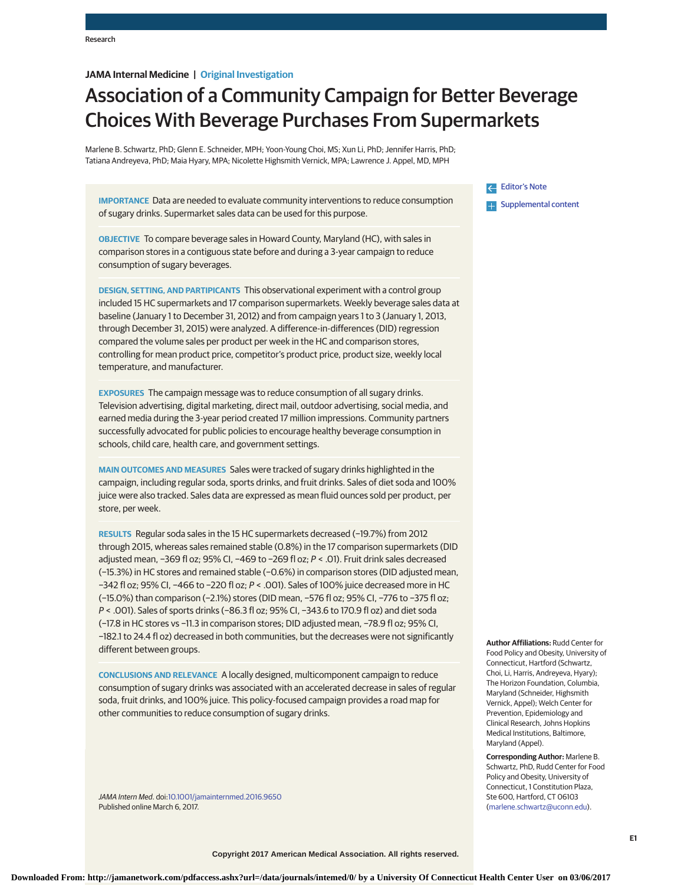# **JAMA Internal Medicine | Original Investigation**

# Association of a Community Campaign for Better Beverage Choices With Beverage Purchases From Supermarkets

Marlene B. Schwartz, PhD; Glenn E. Schneider, MPH; Yoon-Young Choi, MS; Xun Li, PhD; Jennifer Harris, PhD; Tatiana Andreyeva, PhD; Maia Hyary, MPA; Nicolette Highsmith Vernick, MPA; Lawrence J. Appel, MD, MPH

**IMPORTANCE** Data are needed to evaluate community interventions to reduce consumption of sugary drinks. Supermarket sales data can be used for this purpose.

**OBJECTIVE** To compare beverage sales in Howard County, Maryland (HC), with sales in comparison stores in a contiguous state before and during a 3-year campaign to reduce consumption of sugary beverages.

**DESIGN, SETTING, AND PARTIPICANTS** This observational experiment with a control group included 15 HC supermarkets and 17 comparison supermarkets. Weekly beverage sales data at baseline (January 1 to December 31, 2012) and from campaign years 1 to 3 (January 1, 2013, through December 31, 2015) were analyzed. A difference-in-differences (DID) regression compared the volume sales per product per week in the HC and comparison stores, controlling for mean product price, competitor's product price, product size, weekly local temperature, and manufacturer.

**EXPOSURES** The campaign message was to reduce consumption of all sugary drinks. Television advertising, digital marketing, direct mail, outdoor advertising, social media, and earned media during the 3-year period created 17 million impressions. Community partners successfully advocated for public policies to encourage healthy beverage consumption in schools, child care, health care, and government settings.

**MAIN OUTCOMES AND MEASURES** Sales were tracked of sugary drinks highlighted in the campaign, including regular soda, sports drinks, and fruit drinks. Sales of diet soda and 100% juice were also tracked. Sales data are expressed as mean fluid ounces sold per product, per store, per week.

**RESULTS** Regular soda sales in the 15 HC supermarkets decreased (−19.7%) from 2012 through 2015, whereas sales remained stable (0.8%) in the 17 comparison supermarkets (DID adjusted mean, −369 fl oz; 95% CI, −469 to −269 fl oz; P < .01). Fruit drink sales decreased (−15.3%) in HC stores and remained stable (−0.6%) in comparison stores (DID adjusted mean, −342 fl oz; 95% CI, −466 to −220 fl oz; P < .001). Sales of 100% juice decreased more in HC (−15.0%) than comparison (−2.1%) stores (DID mean, −576 fl oz; 95% CI, −776 to −375 fl oz; P < .001). Sales of sports drinks (−86.3 fl oz; 95% CI, −343.6 to 170.9 fl oz) and diet soda (−17.8 in HC stores vs −11.3 in comparison stores; DID adjusted mean, −78.9 fl oz; 95% CI, −182.1 to 24.4 fl oz) decreased in both communities, but the decreases were not significantly different between groups.

**CONCLUSIONS AND RELEVANCE** A locally designed, multicomponent campaign to reduce consumption of sugary drinks was associated with an accelerated decrease in sales of regular soda, fruit drinks, and 100% juice. This policy-focused campaign provides a road map for other communities to reduce consumption of sugary drinks.

JAMA Intern Med. doi[:10.1001/jamainternmed.2016.9650](http://jama.jamanetwork.com/article.aspx?doi=10.1001/jamainternmed.2016.9650&utm_campaign=articlePDF%26utm_medium=articlePDFlink%26utm_source=articlePDF%26utm_content=jamainternmed.2016.9650) Published online March 6, 2017.

[Editor's Note](http://jama.jamanetwork.com/article.aspx?doi=10.1001/jamainternmed.2016.9678&utm_campaign=articlePDF%26utm_medium=articlePDFlink%26utm_source=articlePDF%26utm_content=jamainternmed.2016.9650) **Examplemental content** 

**Author Affiliations:** Rudd Center for Food Policy and Obesity, University of Connecticut, Hartford (Schwartz, Choi, Li, Harris, Andreyeva, Hyary); The Horizon Foundation, Columbia, Maryland (Schneider, Highsmith Vernick, Appel); Welch Center for Prevention, Epidemiology and Clinical Research, Johns Hopkins Medical Institutions, Baltimore, Maryland (Appel).

**Corresponding Author:** Marlene B. Schwartz, PhD, Rudd Center for Food Policy and Obesity, University of Connecticut, 1 Constitution Plaza, Ste 600, Hartford, CT 06103 [\(marlene.schwartz@uconn.edu\)](mailto:marlene.schwartz@uconn.edu).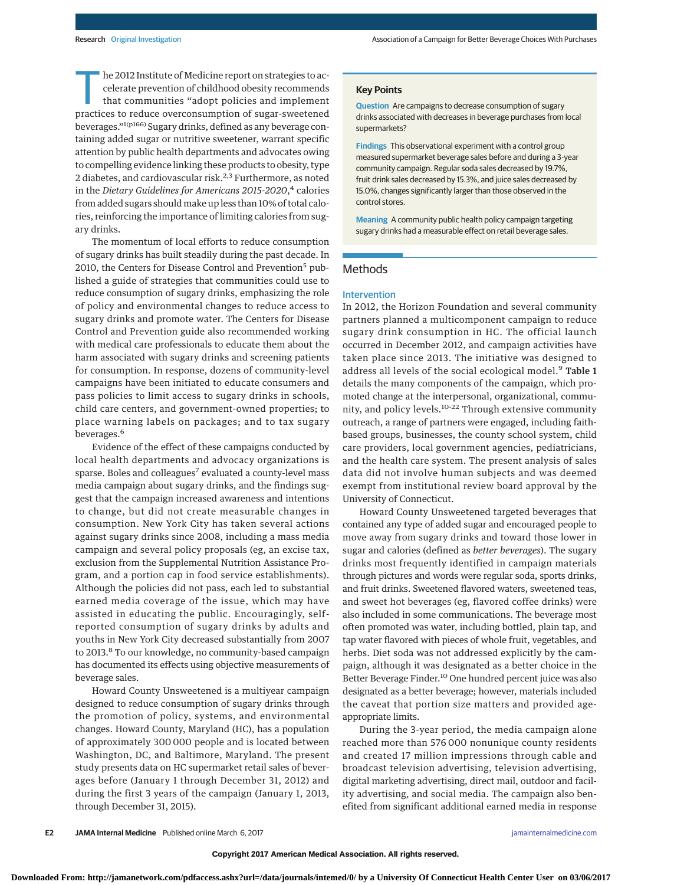he 2012 Institute of Medicine report on strategies to accelerate prevention of childhood obesity recommends that communities "adopt policies and implement practices to reduce overconsumption of sugar-sweetened beverages."1(p166) Sugary drinks, defined as any beverage containing added sugar or nutritive sweetener, warrant specific attention by public health departments and advocates owing to compelling evidence linking these products to obesity, type 2 diabetes, and cardiovascular risk.<sup>2,3</sup> Furthermore, as noted in the *Dietary Guidelines for Americans 2015-2020*, <sup>4</sup> calories from added sugars should make up less than 10% of total calories, reinforcing the importance of limiting calories from sugary drinks.

The momentum of local efforts to reduce consumption of sugary drinks has built steadily during the past decade. In 2010, the Centers for Disease Control and Prevention<sup>5</sup> published a guide of strategies that communities could use to reduce consumption of sugary drinks, emphasizing the role of policy and environmental changes to reduce access to sugary drinks and promote water. The Centers for Disease Control and Prevention guide also recommended working with medical care professionals to educate them about the harm associated with sugary drinks and screening patients for consumption. In response, dozens of community-level campaigns have been initiated to educate consumers and pass policies to limit access to sugary drinks in schools, child care centers, and government-owned properties; to place warning labels on packages; and to tax sugary beverages.<sup>6</sup>

Evidence of the effect of these campaigns conducted by local health departments and advocacy organizations is sparse. Boles and colleagues<sup>7</sup> evaluated a county-level mass media campaign about sugary drinks, and the findings suggest that the campaign increased awareness and intentions to change, but did not create measurable changes in consumption. New York City has taken several actions against sugary drinks since 2008, including a mass media campaign and several policy proposals (eg, an excise tax, exclusion from the Supplemental Nutrition Assistance Program, and a portion cap in food service establishments). Although the policies did not pass, each led to substantial earned media coverage of the issue, which may have assisted in educating the public. Encouragingly, selfreported consumption of sugary drinks by adults and youths in New York City decreased substantially from 2007 to 2013.<sup>8</sup> To our knowledge, no community-based campaign has documented its effects using objective measurements of beverage sales.

Howard County Unsweetened is a multiyear campaign designed to reduce consumption of sugary drinks through the promotion of policy, systems, and environmental changes. Howard County, Maryland (HC), has a population of approximately 300 000 people and is located between Washington, DC, and Baltimore, Maryland. The present study presents data on HC supermarket retail sales of beverages before (January 1 through December 31, 2012) and during the first 3 years of the campaign (January 1, 2013, through December 31, 2015).

#### **Key Points**

**Question** Are campaigns to decrease consumption of sugary drinks associated with decreases in beverage purchases from local supermarkets?

**Findings** This observational experiment with a control group measured supermarket beverage sales before and during a 3-year community campaign. Regular soda sales decreased by 19.7%, fruit drink sales decreased by 15.3%, and juice sales decreased by 15.0%, changes significantly larger than those observed in the control stores.

**Meaning** A community public health policy campaign targeting sugary drinks had a measurable effect on retail beverage sales.

# **Methods**

#### Intervention

In 2012, the Horizon Foundation and several community partners planned a multicomponent campaign to reduce sugary drink consumption in HC. The official launch occurred in December 2012, and campaign activities have taken place since 2013. The initiative was designed to address all levels of the social ecological model.<sup>9</sup> Table 1 details the many components of the campaign, which promoted change at the interpersonal, organizational, community, and policy levels.10-22 Through extensive community outreach, a range of partners were engaged, including faithbased groups, businesses, the county school system, child care providers, local government agencies, pediatricians, and the health care system. The present analysis of sales data did not involve human subjects and was deemed exempt from institutional review board approval by the University of Connecticut.

Howard County Unsweetened targeted beverages that contained any type of added sugar and encouraged people to move away from sugary drinks and toward those lower in sugar and calories (defined as *better beverages*). The sugary drinks most frequently identified in campaign materials through pictures and words were regular soda, sports drinks, and fruit drinks. Sweetened flavored waters, sweetened teas, and sweet hot beverages (eg, flavored coffee drinks) were also included in some communications. The beverage most often promoted was water, including bottled, plain tap, and tap water flavored with pieces of whole fruit, vegetables, and herbs. Diet soda was not addressed explicitly by the campaign, although it was designated as a better choice in the Better Beverage Finder.<sup>10</sup> One hundred percent juice was also designated as a better beverage; however, materials included the caveat that portion size matters and provided ageappropriate limits.

During the 3-year period, the media campaign alone reached more than 576 000 nonunique county residents and created 17 million impressions through cable and broadcast television advertising, television advertising, digital marketing advertising, direct mail, outdoor and facility advertising, and social media. The campaign also benefited from significant additional earned media in response

**E2 JAMA Internal Medicine** Published online March 6, 2017 **(Reprinted)** [jamainternalmedicine.com](http://www.jamainternalmedicine.com/?utm_campaign=articlePDF%26utm_medium=articlePDFlink%26utm_source=articlePDF%26utm_content=jamainternmed.2016.9650)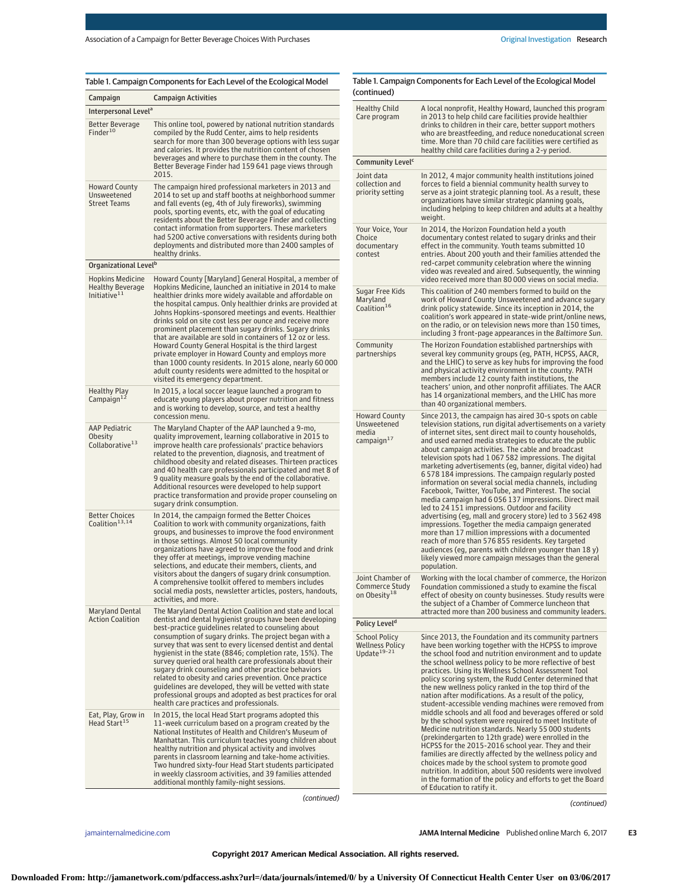| Table 1. Campaign Components for Each Level of the Ecological Model<br>$1 - 1$ |  |  |
|--------------------------------------------------------------------------------|--|--|

|                                                                                | Table 1. Campaign Components for Each Level of the Ecological Model                                                                                                                                                                                                                                                                                                                                                                                                                                                                                                                               | Table 1. Camp<br>(continued)                                                                          |
|--------------------------------------------------------------------------------|---------------------------------------------------------------------------------------------------------------------------------------------------------------------------------------------------------------------------------------------------------------------------------------------------------------------------------------------------------------------------------------------------------------------------------------------------------------------------------------------------------------------------------------------------------------------------------------------------|-------------------------------------------------------------------------------------------------------|
| Campaign                                                                       | <b>Campaign Activities</b>                                                                                                                                                                                                                                                                                                                                                                                                                                                                                                                                                                        | <b>Healthy Child</b>                                                                                  |
| Interpersonal Level <sup>a</sup><br>Better Beverage                            | This online tool, powered by national nutrition standards                                                                                                                                                                                                                                                                                                                                                                                                                                                                                                                                         | Care program                                                                                          |
| Finder <sup>10</sup>                                                           | compiled by the Rudd Center, aims to help residents<br>search for more than 300 beverage options with less sugar<br>and calories. It provides the nutrition content of chosen<br>beverages and where to purchase them in the county. The<br>Better Beverage Finder had 159 641 page views through                                                                                                                                                                                                                                                                                                 | Community L                                                                                           |
| <b>Howard County</b><br>Unsweetened<br><b>Street Teams</b>                     | 2015.<br>The campaign hired professional marketers in 2013 and<br>2014 to set up and staff booths at neighborhood summer<br>and fall events (eg, 4th of July fireworks), swimming<br>pools, sporting events, etc, with the goal of educating<br>residents about the Better Beverage Finder and collecting                                                                                                                                                                                                                                                                                         | Joint data<br>collection and<br>priority settin                                                       |
|                                                                                | contact information from supporters. These marketers<br>had 5200 active conversations with residents during both<br>deployments and distributed more than 2400 samples of<br>healthy drinks.                                                                                                                                                                                                                                                                                                                                                                                                      | Your Voice, Yo<br>Choice<br>documentary<br>contest                                                    |
| Organizational Level <sup>b</sup>                                              |                                                                                                                                                                                                                                                                                                                                                                                                                                                                                                                                                                                                   |                                                                                                       |
| <b>Hopkins Medicine</b><br><b>Healthy Beverage</b><br>Initiative <sup>11</sup> | Howard County [Maryland] General Hospital, a member of<br>Hopkins Medicine, launched an initiative in 2014 to make<br>healthier drinks more widely available and affordable on<br>the hospital campus. Only healthier drinks are provided at<br>Johns Hopkins-sponsored meetings and events. Healthier<br>drinks sold on site cost less per ounce and receive more<br>prominent placement than sugary drinks. Sugary drinks<br>that are available are sold in containers of 12 oz or less.                                                                                                        | Sugar Free Kio<br>Maryland<br>Coalition <sup>16</sup>                                                 |
|                                                                                | Howard County General Hospital is the third largest<br>private employer in Howard County and employs more<br>than 1000 county residents. In 2015 alone, nearly 60 000<br>adult county residents were admitted to the hospital or<br>visited its emergency department.                                                                                                                                                                                                                                                                                                                             | Community<br>partnerships                                                                             |
| <b>Healthy Play</b><br>Campaign $12$                                           | In 2015, a local soccer league launched a program to<br>educate young players about proper nutrition and fitness<br>and is working to develop, source, and test a healthy<br>concession menu.                                                                                                                                                                                                                                                                                                                                                                                                     | <b>Howard Coun</b>                                                                                    |
| <b>AAP Pediatric</b><br>Obesity<br>Collaborative <sup>13</sup>                 | The Maryland Chapter of the AAP launched a 9-mo,<br>quality improvement, learning collaborative in 2015 to<br>improve health care professionals' practice behaviors<br>related to the prevention, diagnosis, and treatment of<br>childhood obesity and related diseases. Thirteen practices<br>and 40 health care professionals participated and met 8 of<br>9 quality measure goals by the end of the collaborative.<br>Additional resources were developed to help support<br>practice transformation and provide proper counseling on<br>sugary drink consumption.                             | Unsweetened<br>media<br>$campalign^{17}$                                                              |
| <b>Better Choices</b><br>Coalition <sup>13,14</sup>                            | In 2014, the campaign formed the Better Choices<br>Coalition to work with community organizations, faith<br>groups, and businesses to improve the food environment<br>in those settings. Almost 50 local community<br>organizations have agreed to improve the food and drink<br>they offer at meetings, improve vending machine<br>selections, and educate their members, clients, and<br>visitors about the dangers of sugary drink consumption.<br>A comprehensive toolkit offered to members includes<br>social media posts, newsletter articles, posters, handouts,<br>activities, and more. | Joint Chambe<br>Commerce St<br>on Obesity <sup>18</sup>                                               |
| <b>Maryland Dental</b><br><b>Action Coalition</b>                              | The Maryland Dental Action Coalition and state and local<br>dentist and dental hygienist groups have been developing                                                                                                                                                                                                                                                                                                                                                                                                                                                                              |                                                                                                       |
|                                                                                | best-practice quidelines related to counseling about<br>consumption of sugary drinks. The project began with a<br>survey that was sent to every licensed dentist and dental<br>hygienist in the state (8846; completion rate, 15%). The<br>survey queried oral health care professionals about their<br>sugary drink counseling and other practice behaviors<br>related to obesity and caries prevention. Once practice<br>quidelines are developed, they will be vetted with state<br>professional groups and adopted as best practices for oral<br>health care practices and professionals.     | Policy Level <sup>d</sup><br><b>School Policy</b><br><b>Wellness Polio</b><br>Update <sup>19-21</sup> |
| Eat, Play, Grow in<br>Head Start <sup>15</sup>                                 | In 2015, the local Head Start programs adopted this<br>11-week curriculum based on a program created by the<br>National Institutes of Health and Children's Museum of<br>Manhattan. This curriculum teaches young children about<br>healthy nutrition and physical activity and involves<br>parents in classroom learning and take-home activities.<br>Two hundred sixty-four Head Start students participated<br>in weekly classroom activities, and 39 families attended<br>additional monthly family-night sessions.                                                                           |                                                                                                       |

| Healthy Child<br>Care program                                      | A local nonprofit, Healthy Howard, launched this program<br>in 2013 to help child care facilities provide healthier<br>drinks to children in their care, better support mothers<br>who are breastfeeding, and reduce noneducational screen<br>time. More than 70 child care facilities were certified as<br>healthy child care facilities during a 2-y period.                                                                                                                                                                                                                                                                                                                                                                                                                                                                                                                                                                                                                                                                                                                    |
|--------------------------------------------------------------------|-----------------------------------------------------------------------------------------------------------------------------------------------------------------------------------------------------------------------------------------------------------------------------------------------------------------------------------------------------------------------------------------------------------------------------------------------------------------------------------------------------------------------------------------------------------------------------------------------------------------------------------------------------------------------------------------------------------------------------------------------------------------------------------------------------------------------------------------------------------------------------------------------------------------------------------------------------------------------------------------------------------------------------------------------------------------------------------|
| Community Level <sup>c</sup>                                       |                                                                                                                                                                                                                                                                                                                                                                                                                                                                                                                                                                                                                                                                                                                                                                                                                                                                                                                                                                                                                                                                                   |
| Joint data<br>collection and<br>priority setting                   | In 2012, 4 major community health institutions joined<br>forces to field a biennial community health survey to<br>serve as a joint strategic planning tool. As a result, these<br>organizations have similar strategic planning goals,<br>including helping to keep children and adults at a healthy<br>weight.                                                                                                                                                                                                                                                                                                                                                                                                                                                                                                                                                                                                                                                                                                                                                                   |
| Your Voice, Your<br>Choice<br>documentary<br>contest               | In 2014, the Horizon Foundation held a youth<br>documentary contest related to sugary drinks and their<br>effect in the community. Youth teams submitted 10<br>entries. About 200 youth and their families attended the<br>red-carpet community celebration where the winning<br>video was revealed and aired. Subsequently, the winning<br>video received more than 80 000 views on social media.                                                                                                                                                                                                                                                                                                                                                                                                                                                                                                                                                                                                                                                                                |
| Sugar Free Kids<br>Maryland<br>Coalition <sup>16</sup>             | This coalition of 240 members formed to build on the<br>work of Howard County Unsweetened and advance sugary<br>drink policy statewide. Since its inception in 2014, the<br>coalition's work appeared in state-wide print/online news,<br>on the radio, or on television news more than 150 times,<br>including 3 front-page appearances in the Baltimore Sun.                                                                                                                                                                                                                                                                                                                                                                                                                                                                                                                                                                                                                                                                                                                    |
| Community<br>partnerships                                          | The Horizon Foundation established partnerships with<br>several key community groups (eg, PATH, HCPSS, AACR,<br>and the LHIC) to serve as key hubs for improving the food<br>and physical activity environment in the county. PATH<br>members include 12 county faith institutions, the<br>teachers' union, and other nonprofit affiliates. The AACR<br>has 14 organizational members, and the LHIC has more<br>than 40 organizational members.                                                                                                                                                                                                                                                                                                                                                                                                                                                                                                                                                                                                                                   |
| Howard County<br>Unsweetened<br>media<br>campaign <sup>17</sup>    | Since 2013, the campaign has aired 30-s spots on cable<br>television stations, run digital advertisements on a variety<br>of internet sites, sent direct mail to county households,<br>and used earned media strategies to educate the public<br>about campaign activities. The cable and broadcast<br>television spots had 1067 582 impressions. The digital<br>marketing advertisements (eg, banner, digital video) had<br>6578184 impressions. The campaign regularly posted<br>information on several social media channels, including<br>Facebook, Twitter, YouTube, and Pinterest. The social<br>media campaign had 6 056 137 impressions. Direct mail<br>led to 24 151 impressions. Outdoor and facility<br>advertising (eg, mall and grocery store) led to 3 562 498<br>impressions. Together the media campaign generated<br>more than 17 million impressions with a documented<br>reach of more than 576 855 residents. Key targeted<br>audiences (eg, parents with children younger than 18 y)<br>likely viewed more campaign messages than the general<br>population. |
| Joint Chamber of<br>Commerce Study<br>on Obesity <sup>18</sup>     | Working with the local chamber of commerce, the Horizon<br>Foundation commissioned a study to examine the fiscal<br>effect of obesity on county businesses. Study results were<br>the subject of a Chamber of Commerce luncheon that<br>attracted more than 200 business and community leaders.                                                                                                                                                                                                                                                                                                                                                                                                                                                                                                                                                                                                                                                                                                                                                                                   |
| Policy Level <sup>d</sup>                                          |                                                                                                                                                                                                                                                                                                                                                                                                                                                                                                                                                                                                                                                                                                                                                                                                                                                                                                                                                                                                                                                                                   |
| <b>School Policy</b><br>Wellness Policy<br>Update <sup>19-21</sup> | Since 2013, the Foundation and its community partners<br>have been working together with the HCPSS to improve<br>the school food and nutrition environment and to update<br>the school wellness policy to be more reflective of best<br>practices. Using its Wellness School Assessment Tool                                                                                                                                                                                                                                                                                                                                                                                                                                                                                                                                                                                                                                                                                                                                                                                      |

(continued)

(continued)

policy scoring system, the Rudd Center determined that the new wellness policy ranked in the top third of the nation after modifications. As a result of the policy, student-accessible vending machines were removed from middle schools and all food and beverages offered or sold by the school system were required to meet Institute of Medicine nutrition standards. Nearly 55 000 students (prekindergarten to 12th grade) were enrolled in the HCPSS for the 2015-2016 school year. They and their families are directly affected by the wellness policy and choices made by the school system to promote good nutrition. In addition, about 500 residents were involved in the formation of the policy and efforts to get the Board

of Education to ratify it.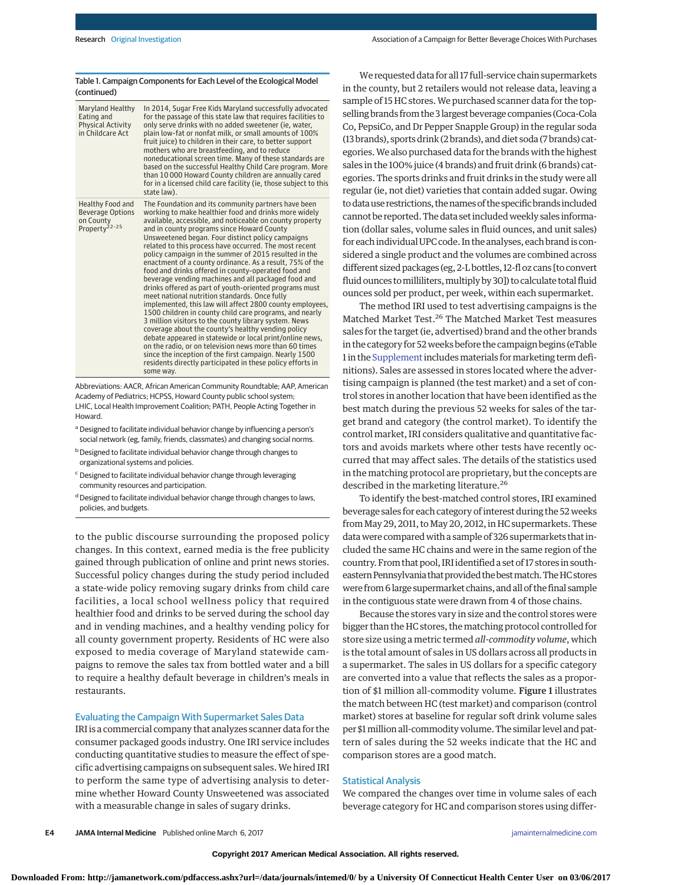#### Table 1. Campaign Components for Each Level of the Ecological Model (continued)

| Maryland Healthy<br>Eating and<br><b>Physical Activity</b><br>in Childcare Act        | In 2014, Sugar Free Kids Maryland successfully advocated<br>for the passage of this state law that requires facilities to<br>only serve drinks with no added sweetener (ie, water,<br>plain low-fat or nonfat milk, or small amounts of 100%<br>fruit juice) to children in their care, to better support<br>mothers who are breastfeeding, and to reduce<br>noneducational screen time. Many of these standards are<br>based on the successful Healthy Child Care program. More<br>than 10000 Howard County children are annually cared<br>for in a licensed child care facility (ie, those subject to this<br>state law).                                                                                                                                                                                                                                                                                                                                                                                                                                                                                                                                                          |
|---------------------------------------------------------------------------------------|--------------------------------------------------------------------------------------------------------------------------------------------------------------------------------------------------------------------------------------------------------------------------------------------------------------------------------------------------------------------------------------------------------------------------------------------------------------------------------------------------------------------------------------------------------------------------------------------------------------------------------------------------------------------------------------------------------------------------------------------------------------------------------------------------------------------------------------------------------------------------------------------------------------------------------------------------------------------------------------------------------------------------------------------------------------------------------------------------------------------------------------------------------------------------------------|
| Healthy Food and<br><b>Beverage Options</b><br>on County<br>Property <sup>22-25</sup> | The Foundation and its community partners have been<br>working to make healthier food and drinks more widely<br>available, accessible, and noticeable on county property<br>and in county programs since Howard County<br>Unsweetened began. Four distinct policy campaigns<br>related to this process have occurred. The most recent<br>policy campaign in the summer of 2015 resulted in the<br>enactment of a county ordinance. As a result, 75% of the<br>food and drinks offered in county-operated food and<br>beverage vending machines and all packaged food and<br>drinks offered as part of youth-oriented programs must<br>meet national nutrition standards. Once fully<br>implemented, this law will affect 2800 county employees,<br>1500 children in county child care programs, and nearly<br>3 million visitors to the county library system. News<br>coverage about the county's healthy vending policy<br>debate appeared in statewide or local print/online news,<br>on the radio, or on television news more than 60 times<br>since the inception of the first campaign. Nearly 1500<br>residents directly participated in these policy efforts in<br>some way. |

Abbreviations: AACR, African American Community Roundtable; AAP, American Academy of Pediatrics; HCPSS, Howard County public school system; LHIC, Local Health Improvement Coalition; PATH, People Acting Together in Howard.

- a Designed to facilitate individual behavior change by influencing a person's social network (eg, family, friends, classmates) and changing social norms.
- **b** Designed to facilitate individual behavior change through changes to organizational systems and policies.
- <sup>c</sup> Designed to facilitate individual behavior change through leveraging community resources and participation.
- <sup>d</sup> Designed to facilitate individual behavior change through changes to laws, policies, and budgets.

to the public discourse surrounding the proposed policy changes. In this context, earned media is the free publicity gained through publication of online and print news stories. Successful policy changes during the study period included a state-wide policy removing sugary drinks from child care facilities, a local school wellness policy that required healthier food and drinks to be served during the school day and in vending machines, and a healthy vending policy for all county government property. Residents of HC were also exposed to media coverage of Maryland statewide campaigns to remove the sales tax from bottled water and a bill to require a healthy default beverage in children's meals in restaurants.

## Evaluating the Campaign With Supermarket Sales Data

IRI is a commercial company that analyzes scanner data for the consumer packaged goods industry. One IRI service includes conducting quantitative studies to measure the effect of specific advertising campaigns on subsequent sales. We hired IRI to perform the same type of advertising analysis to determine whether Howard County Unsweetened was associated with a measurable change in sales of sugary drinks.

We requested data for all 17 full-service chain supermarkets in the county, but 2 retailers would not release data, leaving a sample of 15 HC stores.We purchased scanner data for the topselling brands from the 3 largest beverage companies (Coca-Cola Co, PepsiCo, and Dr Pepper Snapple Group) in the regular soda (13 brands), sports drink (2 brands), and diet soda (7 brands) categories.We also purchased data for the brands with the highest sales in the 100% juice (4 brands) and fruit drink (6 brands) categories. The sports drinks and fruit drinks in the study were all regular (ie, not diet) varieties that contain added sugar. Owing to data use restrictions, the names of the specific brands included cannot be reported. The data set includedweekly sales information (dollar sales, volume sales in fluid ounces, and unit sales) for each individual UPC code. In the analyses, each brand is considered a single product and the volumes are combined across different sized packages (eg, 2-L bottles, 12-fl oz cans [to convert fluid ounces to milliliters, multiply by 30]) to calculate total fluid ounces sold per product, per week, within each supermarket.

The method IRI used to test advertising campaigns is the Matched Market Test.26 The Matched Market Test measures sales for the target (ie, advertised) brand and the other brands in the category for 52 weeks before the campaign begins (eTable 1 in the [Supplement](http://jama.jamanetwork.com/article.aspx?doi=10.1001/jamainternmed.2016.9650&utm_campaign=articlePDF%26utm_medium=articlePDFlink%26utm_source=articlePDF%26utm_content=jamainternmed.2016.9650) includes materials for marketing term definitions). Sales are assessed in stores located where the advertising campaign is planned (the test market) and a set of control stores in another location that have been identified as the best match during the previous 52 weeks for sales of the target brand and category (the control market). To identify the control market, IRI considers qualitative and quantitative factors and avoids markets where other tests have recently occurred that may affect sales. The details of the statistics used in the matching protocol are proprietary, but the concepts are described in the marketing literature.<sup>26</sup>

To identify the best-matched control stores, IRI examined beverage sales for each category of interest during the 52 weeks from May 29, 2011, to May 20, 2012, in HC supermarkets. These data were compared with a sample of 326 supermarkets that included the same HC chains and were in the same region of the country. From that pool, IRI identified a set of 17 stores in southeastern Pennsylvania that provided the best match. The HC stores were from 6 large supermarket chains, and all of the final sample in the contiguous state were drawn from 4 of those chains.

Because the stores vary in size and the control stores were bigger than the HC stores, thematching protocol controlled for store size using a metric termed *all-commodity volume*, which is the total amount of sales in US dollars across all products in a supermarket. The sales in US dollars for a specific category are converted into a value that reflects the sales as a proportion of \$1 million all-commodity volume. Figure 1 illustrates the match between HC (test market) and comparison (control market) stores at baseline for regular soft drink volume sales per \$1million all-commodity volume. The similar level and pattern of sales during the 52 weeks indicate that the HC and comparison stores are a good match.

## Statistical Analysis

We compared the changes over time in volume sales of each beverage category for HC and comparison stores using differ-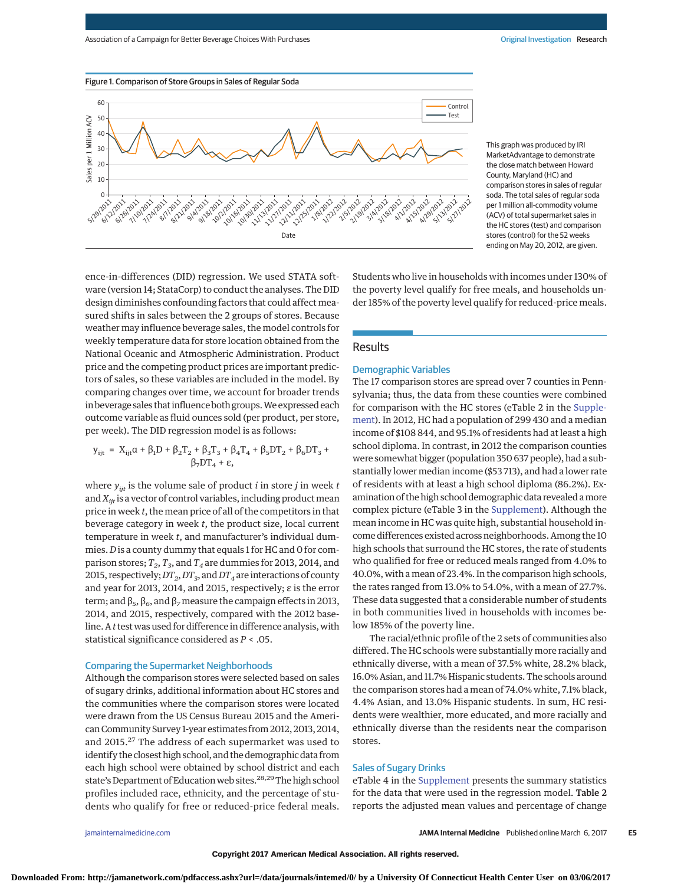[jamainternalmedicine.com](http://www.jamainternalmedicine.com/?utm_campaign=articlePDF%26utm_medium=articlePDFlink%26utm_source=articlePDF%26utm_content=jamainternmed.2016.9650) **(Reprinted) JAMA Internal Medicine** Published online March 6, 2017 **E5**

**Downloaded From: http://jamanetwork.com/pdfaccess.ashx?url=/data/journals/intemed/0/ by a University Of Connecticut Health Center User on 03/06/2017**

Figure 1. Comparison of Store Groups in Sales of Regular Soda

ence-in-differences (DID) regression. We used STATA software (version 14; StataCorp) to conduct the analyses. The DID design diminishes confounding factors that could affect measured shifts in sales between the 2 groups of stores. Because weather may influence beverage sales, the model controls for weekly temperature data for store location obtained from the National Oceanic and Atmospheric Administration. Product price and the competing product prices are important predictors of sales, so these variables are included in the model. By comparing changes over time, we account for broader trends in beverage sales that influence both groups.We expressed each outcome variable as fluid ounces sold (per product, per store,

$$
\begin{array}{ll}\boldsymbol{y}_{ijt} \; = \; \boldsymbol{X}_{ijt}\boldsymbol{\alpha} + \boldsymbol{\beta}_1\boldsymbol{D} + \boldsymbol{\beta}_2\boldsymbol{T}_2 + \boldsymbol{\beta}_3\boldsymbol{T}_3 + \boldsymbol{\beta}_4\boldsymbol{T}_4 + \boldsymbol{\beta}_5\boldsymbol{D}\boldsymbol{T}_2 + \boldsymbol{\beta}_6\boldsymbol{D}\boldsymbol{T}_3 + \\ & \boldsymbol{\beta}_7\boldsymbol{D}\boldsymbol{T}_4 + \boldsymbol{\epsilon}, \end{array}
$$

per week). The DID regression model is as follows:

where  $y_{ijt}$  is the volume sale of product *i* in store *j* in week *t* and  $X_{\text{int}}$  is a vector of control variables, including product mean price in week *t*, the mean price of all of the competitors in that beverage category in week *t*, the product size, local current temperature in week *t*, and manufacturer's individual dummies. *D* is a county dummy that equals 1 for HC and 0 for comparison stores;  $T_2$ ,  $T_3$ , and  $T_4$  are dummies for 2013, 2014, and 2015, respectively;  $DT_2$ ,  $DT_3$ , and  $DT_4$  are interactions of county and year for 2013, 2014, and 2015, respectively; ε is the error term; and  $β_5$ ,  $β_6$ , and  $β_7$  measure the campaign effects in 2013, 2014, and 2015, respectively, compared with the 2012 baseline. A *t*test was used for difference in difference analysis, with statistical significance considered as *P* < .05.

## Comparing the Supermarket Neighborhoods

Although the comparison stores were selected based on sales of sugary drinks, additional information about HC stores and the communities where the comparison stores were located were drawn from the US Census Bureau 2015 and the American Community Survey 1-year estimates from 2012, 2013, 2014, and 2015.<sup>27</sup> The address of each supermarket was used to identify the closest high school, and the demographic data from each high school were obtained by school district and each state's Department of Education web sites.<sup>28,29</sup>The high school profiles included race, ethnicity, and the percentage of students who qualify for free or reduced-price federal meals.

Students who live in households with incomes under 130% of the poverty level qualify for free meals, and households under 185% of the poverty level qualify for reduced-price meals.

# **Results**

## Demographic Variables

The 17 comparison stores are spread over 7 counties in Pennsylvania; thus, the data from these counties were combined for comparison with the HC stores (eTable 2 in the [Supple](http://jama.jamanetwork.com/article.aspx?doi=10.1001/jamainternmed.2016.9650&utm_campaign=articlePDF%26utm_medium=articlePDFlink%26utm_source=articlePDF%26utm_content=jamainternmed.2016.9650)[ment\)](http://jama.jamanetwork.com/article.aspx?doi=10.1001/jamainternmed.2016.9650&utm_campaign=articlePDF%26utm_medium=articlePDFlink%26utm_source=articlePDF%26utm_content=jamainternmed.2016.9650). In 2012, HC had a population of 299 430 and a median income of \$108 844, and 95.1% of residents had at least a high school diploma. In contrast, in 2012 the comparison counties were somewhat bigger (population 350 637 people), had a substantially lower median income (\$53 713), and had a lower rate of residents with at least a high school diploma (86.2%). Examination of the high school demographic data revealed amore complex picture (eTable 3 in the [Supplement\)](http://jama.jamanetwork.com/article.aspx?doi=10.1001/jamainternmed.2016.9650&utm_campaign=articlePDF%26utm_medium=articlePDFlink%26utm_source=articlePDF%26utm_content=jamainternmed.2016.9650). Although the mean income in HC was quite high, substantial household income differences existed across neighborhoods. Among the 10 high schools that surround the HC stores, the rate of students who qualified for free or reduced meals ranged from 4.0% to 40.0%, with a mean of 23.4%. In the comparison high schools, the rates ranged from 13.0% to 54.0%, with a mean of 27.7%. These data suggested that a considerable number of students in both communities lived in households with incomes below 185% of the poverty line.

The racial/ethnic profile of the 2 sets of communities also differed. The HC schools were substantially more racially and ethnically diverse, with a mean of 37.5% white, 28.2% black, 16.0% Asian, and 11.7% Hispanic students. The schools around the comparison stores had a mean of 74.0% white, 7.1% black, 4.4% Asian, and 13.0% Hispanic students. In sum, HC residents were wealthier, more educated, and more racially and ethnically diverse than the residents near the comparison stores.

## Sales of Sugary Drinks

eTable 4 in the [Supplement](http://jama.jamanetwork.com/article.aspx?doi=10.1001/jamainternmed.2016.9650&utm_campaign=articlePDF%26utm_medium=articlePDFlink%26utm_source=articlePDF%26utm_content=jamainternmed.2016.9650) presents the summary statistics for the data that were used in the regression model. Table 2 reports the adjusted mean values and percentage of change

This graph was produced by IRI MarketAdvantage to demonstrate the close match between Howard County, Maryland (HC) and comparison stores in sales of regular soda. The total sales of regular soda per 1 million all-commodity volume (ACV) of total supermarket sales in the HC stores (test) and comparison stores (control) for the 52 weeks ending on May 20, 2012, are given.



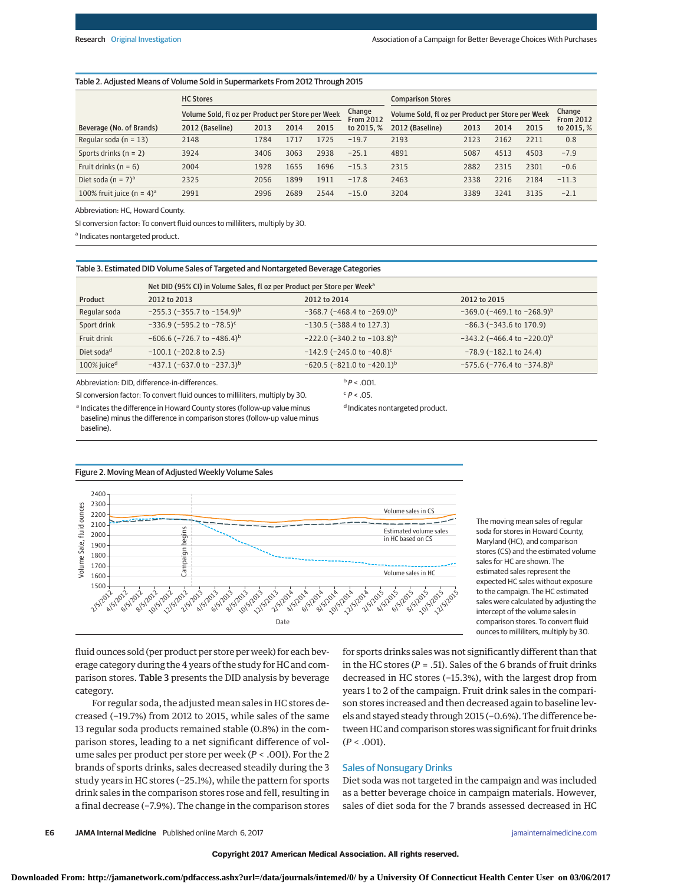#### Table 2. Adjusted Means of Volume Sold in Supermarkets From 2012 Through 2015

|                                          | <b>HC Stores</b>                                  |      |      |                            |                                                   | <b>Comparison Stores</b> |      |                            |      |            |
|------------------------------------------|---------------------------------------------------|------|------|----------------------------|---------------------------------------------------|--------------------------|------|----------------------------|------|------------|
|                                          | Volume Sold, fl oz per Product per Store per Week |      |      | Change<br><b>From 2012</b> | Volume Sold, fl oz per Product per Store per Week |                          |      | Change<br><b>From 2012</b> |      |            |
| Beverage (No. of Brands)                 | 2012 (Baseline)                                   | 2013 | 2014 | 2015                       | to 2015. %                                        | 2012 (Baseline)          | 2013 | 2014                       | 2015 | to 2015, % |
| Regular soda ( $n = 13$ )                | 2148                                              | 1784 | 1717 | 1725                       | $-19.7$                                           | 2193                     | 2123 | 2162                       | 2211 | 0.8        |
| Sports drinks $(n = 2)$                  | 3924                                              | 3406 | 3063 | 2938                       | $-25.1$                                           | 4891                     | 5087 | 4513                       | 4503 | $-7.9$     |
| Fruit drinks ( $n = 6$ )                 | 2004                                              | 1928 | 1655 | 1696                       | $-15.3$                                           | 2315                     | 2882 | 2315                       | 2301 | $-0.6$     |
| Diet soda (n = $7)^a$                    | 2325                                              | 2056 | 1899 | 1911                       | $-17.8$                                           | 2463                     | 2338 | 2216                       | 2184 | $-11.3$    |
| 100% fruit juice (n = $4$ ) <sup>a</sup> | 2991                                              | 2996 | 2689 | 2544                       | $-15.0$                                           | 3204                     | 3389 | 3241                       | 3135 | $-2.1$     |

Abbreviation: HC, Howard County.

SI conversion factor: To convert fluid ounces to milliliters, multiply by 30.

a Indicates nontargeted product.

Table 3. Estimated DID Volume Sales of Targeted and Nontargeted Beverage Categories

|                         | Net DID (95% CI) in Volume Sales, fl oz per Product per Store per Week <sup>a</sup> |                                             |                                             |  |  |  |  |
|-------------------------|-------------------------------------------------------------------------------------|---------------------------------------------|---------------------------------------------|--|--|--|--|
| Product                 | 2012 to 2013                                                                        | 2012 to 2014                                | 2012 to 2015                                |  |  |  |  |
| Regular soda            | $-255.3$ (-355.7 to $-154.9$ <sup>b</sup>                                           | $-368.7$ (-468.4 to $-269.0$ ) <sup>b</sup> | $-369.0$ (-469.1 to $-268.9$ ) <sup>b</sup> |  |  |  |  |
| Sport drink             | $-336.9$ (-595.2 to -78.5) <sup>c</sup>                                             | $-130.5$ ( $-388.4$ to 127.3)               | $-86.3$ ( $-343.6$ to 170.9)                |  |  |  |  |
| Fruit drink             | $-606.6$ (-726.7 to $-486.4$ ) <sup>b</sup>                                         | $-222.0$ (-340.2 to $-103.8$ ) <sup>b</sup> | $-343.2$ (-466.4 to -220.0) <sup>b</sup>    |  |  |  |  |
| Diet soda <sup>d</sup>  | $-100.1$ ( $-202.8$ to 2.5)                                                         | $-142.9$ (-245.0 to -40.8) <sup>c</sup>     | $-78.9$ ( $-182.1$ to 24.4)                 |  |  |  |  |
| 100% juice <sup>d</sup> | $-437.1$ (-637.0 to -237.3) <sup>b</sup>                                            | $-620.5$ (-821.0 to -420.1) <sup>b</sup>    | $-575.6$ (-776.4 to -374.8) <sup>b</sup>    |  |  |  |  |
|                         | Abbreviation: DID, difference-in-differences.                                       | $P < .001$ .                                |                                             |  |  |  |  |

Abbreviation: DID, difference-in-differences.

SI conversion factor: To convert fluid ounces to milliliters, multiply by 30.

 $c$   $P < .05$ .

d Indicates nontargeted product.

a Indicates the difference in Howard County stores (follow-up value minus baseline) minus the difference in comparison stores (follow-up value minus baseline).

![](_page_5_Figure_13.jpeg)

The moving mean sales of regular soda for stores in Howard County, Maryland (HC), and comparison stores (CS) and the estimated volume sales for HC are shown. The estimated sales represent the expected HC sales without exposure to the campaign. The HC estimated sales were calculated by adjusting the intercept of the volume sales in comparison stores. To convert fluid ounces to milliliters, multiply by 30.

fluid ounces sold (per product per store per week) for each beverage category during the 4 years of the study for HC and comparison stores. Table 3 presents the DID analysis by beverage category.

For regular soda, the adjusted mean sales in HC stores decreased (−19.7%) from 2012 to 2015, while sales of the same 13 regular soda products remained stable (0.8%) in the comparison stores, leading to a net significant difference of volume sales per product per store per week (*P* < .001). For the 2 brands of sports drinks, sales decreased steadily during the 3 study years in HC stores (−25.1%), while the pattern for sports drink sales in the comparison stores rose and fell, resulting in a final decrease (−7.9%). The change in the comparison stores for sports drinks sales was not significantly different than that in the HC stores (*P* = .51). Sales of the 6 brands of fruit drinks decreased in HC stores (−15.3%), with the largest drop from years 1 to 2 of the campaign. Fruit drink sales in the comparison stores increased and then decreased again to baseline levels and stayed steady through 2015 (−0.6%). The difference between HC and comparison stores was significant for fruit drinks  $(P < .001)$ .

## Sales of Nonsugary Drinks

Diet soda was not targeted in the campaign and was included as a better beverage choice in campaign materials. However, sales of diet soda for the 7 brands assessed decreased in HC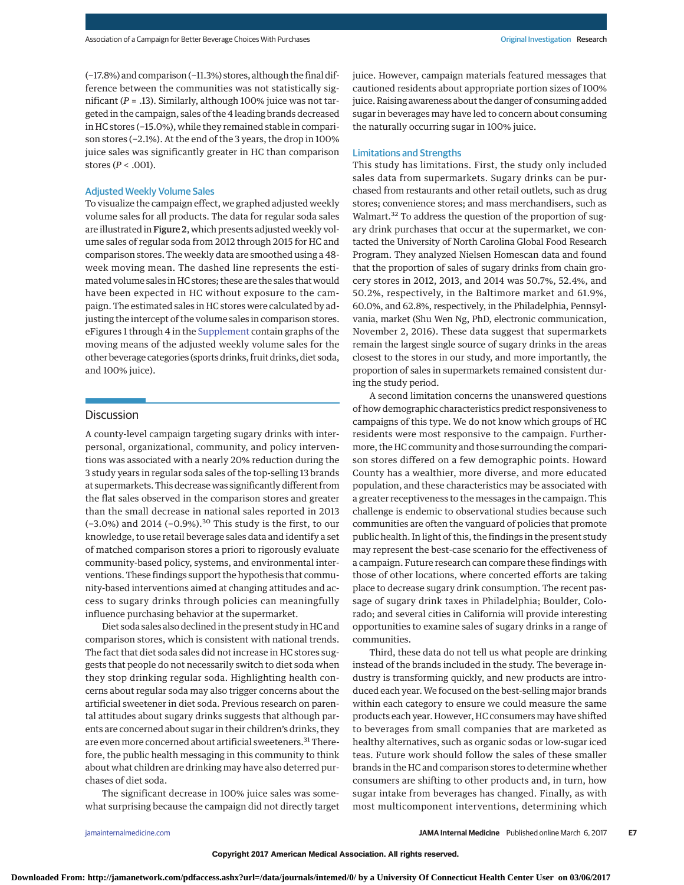(−17.8%) and comparison (−11.3%) stores, although the final difference between the communities was not statistically significant (*P* = .13). Similarly, although 100% juice was not targeted in the campaign, sales of the 4 leading brands decreased in HC stores (−15.0%), while they remained stable in comparison stores (−2.1%). At the end of the 3 years, the drop in 100% juice sales was significantly greater in HC than comparison stores (*P* < .001).

## Adjusted Weekly Volume Sales

To visualize the campaign effect, we graphed adjusted weekly volume sales for all products. The data for regular soda sales are illustrated in Figure 2, which presents adjusted weekly volume sales of regular soda from 2012 through 2015 for HC and comparison stores. The weekly data are smoothed using a 48 week moving mean. The dashed line represents the estimated volume sales in HC stores; these are the sales that would have been expected in HC without exposure to the campaign. The estimated sales in HC stores were calculated by adjusting the intercept of the volume sales in comparison stores. eFigures 1 through 4 in the [Supplement](http://jama.jamanetwork.com/article.aspx?doi=10.1001/jamainternmed.2016.9650&utm_campaign=articlePDF%26utm_medium=articlePDFlink%26utm_source=articlePDF%26utm_content=jamainternmed.2016.9650) contain graphs of the moving means of the adjusted weekly volume sales for the other beverage categories (sports drinks, fruit drinks, diet soda, and 100% juice).

## **Discussion**

A county-level campaign targeting sugary drinks with interpersonal, organizational, community, and policy interventions was associated with a nearly 20% reduction during the 3 study years in regular soda sales of the top-selling 13 brands at supermarkets. This decrease was significantly different from the flat sales observed in the comparison stores and greater than the small decrease in national sales reported in 2013 (−3.0%) and 2014 (−0.9%).<sup>30</sup> This study is the first, to our knowledge, to use retail beverage sales data and identify a set of matched comparison stores a priori to rigorously evaluate community-based policy, systems, and environmental interventions. These findings support the hypothesis that community-based interventions aimed at changing attitudes and access to sugary drinks through policies can meaningfully influence purchasing behavior at the supermarket.

Diet soda sales also declined in the present study in HC and comparison stores, which is consistent with national trends. The fact that diet soda sales did not increase in HC stores suggests that people do not necessarily switch to diet soda when they stop drinking regular soda. Highlighting health concerns about regular soda may also trigger concerns about the artificial sweetener in diet soda. Previous research on parental attitudes about sugary drinks suggests that although parents are concerned about sugar in their children's drinks, they are even more concerned about artificial sweeteners.<sup>31</sup> Therefore, the public health messaging in this community to think about what children are drinking may have also deterred purchases of diet soda.

The significant decrease in 100% juice sales was somewhat surprising because the campaign did not directly target juice. However, campaign materials featured messages that cautioned residents about appropriate portion sizes of 100% juice. Raising awareness about the danger of consuming added sugar in beverages may have led to concern about consuming the naturally occurring sugar in 100% juice.

## Limitations and Strengths

This study has limitations. First, the study only included sales data from supermarkets. Sugary drinks can be purchased from restaurants and other retail outlets, such as drug stores; convenience stores; and mass merchandisers, such as Walmart.<sup>32</sup> To address the question of the proportion of sugary drink purchases that occur at the supermarket, we contacted the University of North Carolina Global Food Research Program. They analyzed Nielsen Homescan data and found that the proportion of sales of sugary drinks from chain grocery stores in 2012, 2013, and 2014 was 50.7%, 52.4%, and 50.2%, respectively, in the Baltimore market and 61.9%, 60.0%, and 62.8%, respectively, in the Philadelphia, Pennsylvania, market (Shu Wen Ng, PhD, electronic communication, November 2, 2016). These data suggest that supermarkets remain the largest single source of sugary drinks in the areas closest to the stores in our study, and more importantly, the proportion of sales in supermarkets remained consistent during the study period.

A second limitation concerns the unanswered questions of how demographic characteristics predict responsiveness to campaigns of this type. We do not know which groups of HC residents were most responsive to the campaign. Furthermore, the HC community and those surrounding the comparison stores differed on a few demographic points. Howard County has a wealthier, more diverse, and more educated population, and these characteristics may be associated with a greater receptiveness to the messages in the campaign. This challenge is endemic to observational studies because such communities are often the vanguard of policies that promote public health. In light of this, the findings in the present study may represent the best-case scenario for the effectiveness of a campaign. Future research can compare these findings with those of other locations, where concerted efforts are taking place to decrease sugary drink consumption. The recent passage of sugary drink taxes in Philadelphia; Boulder, Colorado; and several cities in California will provide interesting opportunities to examine sales of sugary drinks in a range of communities.

Third, these data do not tell us what people are drinking instead of the brands included in the study. The beverage industry is transforming quickly, and new products are introduced each year. We focused on the best-selling major brands within each category to ensure we could measure the same products each year. However, HC consumers may have shifted to beverages from small companies that are marketed as healthy alternatives, such as organic sodas or low-sugar iced teas. Future work should follow the sales of these smaller brands in the HC and comparison stores to determine whether consumers are shifting to other products and, in turn, how sugar intake from beverages has changed. Finally, as with most multicomponent interventions, determining which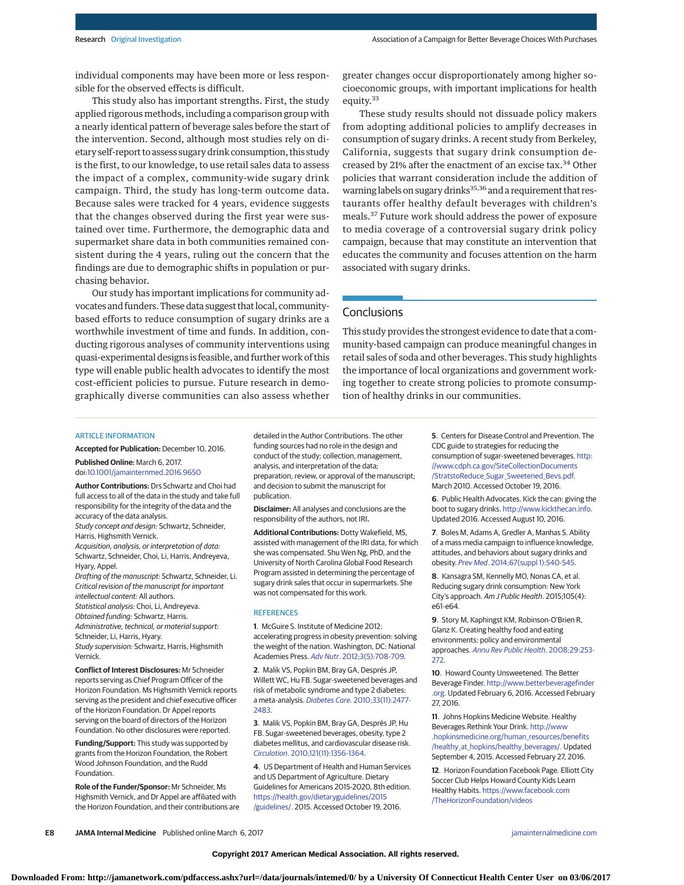individual components may have been more or less responsible for the observed effects is difficult.

This study also has important strengths. First, the study applied rigorous methods, including a comparison group with a nearly identical pattern of beverage sales before the start of the intervention. Second, although most studies rely on dietary self-report to assess sugary drink consumption, this study is the first, to our knowledge, to use retail sales data to assess the impact of a complex, community-wide sugary drink campaign. Third, the study has long-term outcome data. Because sales were tracked for 4 years, evidence suggests that the changes observed during the first year were sustained over time. Furthermore, the demographic data and supermarket share data in both communities remained consistent during the 4 years, ruling out the concern that the findings are due to demographic shifts in population or purchasing behavior.

Our study has important implications for community advocates and funders. These data suggest that local, communitybased efforts to reduce consumption of sugary drinks are a worthwhile investment of time and funds. In addition, conducting rigorous analyses of community interventions using quasi-experimental designs is feasible, and further work of this type will enable public health advocates to identify the most cost-efficient policies to pursue. Future research in demographically diverse communities can also assess whether greater changes occur disproportionately among higher socioeconomic groups, with important implications for health equity.33

These study results should not dissuade policy makers from adopting additional policies to amplify decreases in consumption of sugary drinks. A recent study from Berkeley, California, suggests that sugary drink consumption decreased by 21% after the enactment of an excise tax.<sup>34</sup> Other policies that warrant consideration include the addition of warning labels on sugary drinks<sup>35,36</sup> and a requirement that restaurants offer healthy default beverages with children's meals.<sup>37</sup> Future work should address the power of exposure to media coverage of a controversial sugary drink policy campaign, because that may constitute an intervention that educates the community and focuses attention on the harm associated with sugary drinks.

# **Conclusions**

This study provides the strongest evidence to date that a community-based campaign can produce meaningful changes in retail sales of soda and other beverages. This study highlights the importance of local organizations and government working together to create strong policies to promote consumption of healthy drinks in our communities.

#### **ARTICLE INFORMATION**

**Accepted for Publication:** December 10, 2016.

**Published Online:** March 6, 2017. doi[:10.1001/jamainternmed.2016.9650](http://jama.jamanetwork.com/article.aspx?doi=10.1001/jamainternmed.2016.9650&utm_campaign=articlePDF%26utm_medium=articlePDFlink%26utm_source=articlePDF%26utm_content=jamainternmed.2016.9650)

**Author Contributions:** Drs Schwartz and Choi had full access to all of the data in the study and take full responsibility for the integrity of the data and the accuracy of the data analysis. Study concept and design: Schwartz, Schneider,

Harris, Highsmith Vernick. Acquisition, analysis, or interpretation of data: Schwartz, Schneider, Choi, Li, Harris, Andreyeva,

Hyary, Appel. Drafting of the manuscript: Schwartz, Schneider, Li. Critical revision of the manuscript for important intellectual content: All authors. Statistical analysis: Choi, Li, Andreyeva. Obtained funding: Schwartz, Harris. Administrative, technical, or material support:

Schneider, Li, Harris, Hyary. Study supervision: Schwartz, Harris, Highsmith

Vernick.

**Conflict of Interest Disclosures:** Mr Schneider reports serving as Chief Program Officer of the Horizon Foundation. Ms Highsmith Vernick reports serving as the president and chief executive officer of the Horizon Foundation. Dr Appel reports serving on the board of directors of the Horizon Foundation. No other disclosures were reported.

**Funding/Support:** This study was supported by grants from the Horizon Foundation, the Robert Wood Johnson Foundation, and the Rudd Foundation.

**Role of the Funder/Sponsor:** Mr Schneider, Ms Highsmith Vernick, and Dr Appel are affiliated with the Horizon Foundation, and their contributions are detailed in the Author Contributions. The other funding sources had no role in the design and conduct of the study; collection, management, analysis, and interpretation of the data; preparation, review, or approval of the manuscript; and decision to submit the manuscript for publication.

**Disclaimer:** All analyses and conclusions are the responsibility of the authors, not IRI**.**

**Additional Contributions:** Dotty Wakefield, MS, assisted with management of the IRI data, for which she was compensated. Shu Wen Ng, PhD, and the University of North Carolina Global Food Research Program assisted in determining the percentage of sugary drink sales that occur in supermarkets. She was not compensated for this work.

### **REFERENCES**

**1**. McGuire S. Institute of Medicine 2012: accelerating progress in obesity prevention: solving the weight of the nation. Washington, DC: National Academies Press. Adv Nutr[. 2012;3\(5\):708-709.](https://www.ncbi.nlm.nih.gov/pubmed/22983849)

**2**. Malik VS, Popkin BM, Bray GA, Després JP, Willett WC, Hu FB. Sugar-sweetened beverages and risk of metabolic syndrome and type 2 diabetes: a meta-analysis. Diabetes Care[. 2010;33\(11\):2477-](https://www.ncbi.nlm.nih.gov/pubmed/20693348) [2483.](https://www.ncbi.nlm.nih.gov/pubmed/20693348)

**3**. Malik VS, Popkin BM, Bray GA, Després JP, Hu FB. Sugar-sweetened beverages, obesity, type 2 diabetes mellitus, and cardiovascular disease risk. Circulation[. 2010;121\(11\):1356-1364.](https://www.ncbi.nlm.nih.gov/pubmed/20308626)

**4**. US Department of Health and Human Services and US Department of Agriculture. Dietary Guidelines for Americans 2015-2020, 8th edition. [https://health.gov/dietaryguidelines/2015](https://health.gov/dietaryguidelines/2015/guidelines/) [/guidelines/.](https://health.gov/dietaryguidelines/2015/guidelines/) 2015. Accessed October 19, 2016.

**5**. Centers for Disease Control and Prevention. The CDC guide to strategies for reducing the consumption of sugar-sweetened beverages. [http:](http://www.cdph.ca.gov/SiteCollectionDocuments/StratstoReduce_Sugar_Sweetened_Bevs.pdf) [//www.cdph.ca.gov/SiteCollectionDocuments](http://www.cdph.ca.gov/SiteCollectionDocuments/StratstoReduce_Sugar_Sweetened_Bevs.pdf) [/StratstoReduce\\_Sugar\\_Sweetened\\_Bevs.pdf.](http://www.cdph.ca.gov/SiteCollectionDocuments/StratstoReduce_Sugar_Sweetened_Bevs.pdf) March 2010. Accessed October 19, 2016.

**6**. Public Health Advocates. Kick the can: giving the boot to sugary drinks. [http://www.kickthecan.info.](http://www.kickthecan.info) Updated 2016. Accessed August 10, 2016.

**7**. Boles M, Adams A, Gredler A, Manhas S. Ability of a mass media campaign to influence knowledge, attitudes, and behaviors about sugary drinks and obesity. Prev Med[. 2014;67\(suppl 1\):S40-S45.](https://www.ncbi.nlm.nih.gov/pubmed/25066020)

**8**. Kansagra SM, Kennelly MO, Nonas CA, et al. Reducing sugary drink consumption: New York City's approach. Am J Public Health. 2015;105(4): e61-e64.

**9**. Story M, Kaphingst KM, Robinson-O'Brien R, Glanz K. Creating healthy food and eating environments: policy and environmental approaches. [Annu Rev Public Health](https://www.ncbi.nlm.nih.gov/pubmed/18031223). 2008;29:253- [272.](https://www.ncbi.nlm.nih.gov/pubmed/18031223)

**10**. Howard County Unsweetened. The Better Beverage Finder. [http://www.betterbeveragefinder](http://www.betterbeveragefinder.org) [.org.](http://www.betterbeveragefinder.org) Updated February 6, 2016. Accessed February 27, 2016.

**11**. Johns Hopkins Medicine Website. Healthy Beverages.Rethink Your Drink. [http://www](http://www.hopkinsmedicine.org/human_resources/benefits/healthy_at_hopkins/healthy_beverages/) [.hopkinsmedicine.org/human\\_resources/benefits](http://www.hopkinsmedicine.org/human_resources/benefits/healthy_at_hopkins/healthy_beverages/) /healthy at hopkins/healthy beverages/. Updated September 4, 2015. Accessed February 27, 2016.

**12**. Horizon Foundation Facebook Page. Elliott City Soccer Club Helps Howard County Kids Learn Healthy Habits. [https://www.facebook.com](https://www.facebook.com/TheHorizonFoundation/videos/1198654576828728/) [/TheHorizonFoundation/videos](https://www.facebook.com/TheHorizonFoundation/videos/1198654576828728/)